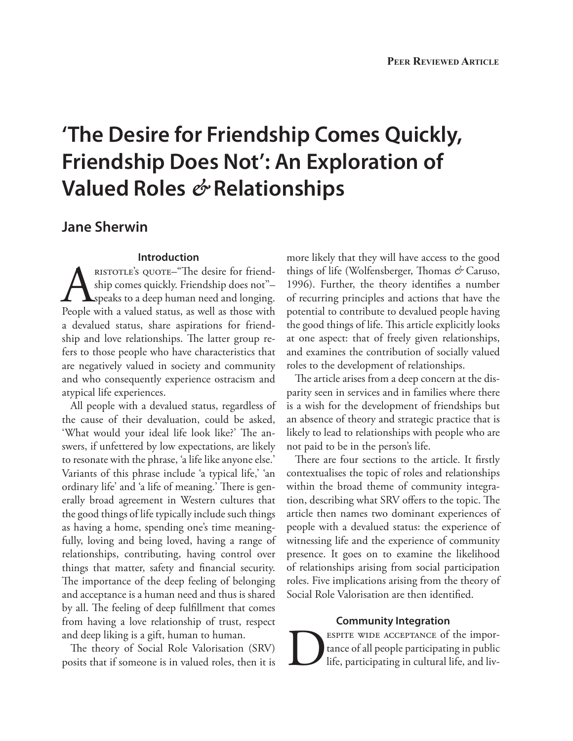# **'The Desire for Friendship Comes Quickly, Friendship Does Not': An Exploration of Valued Roles** *&* **Relationships**

## **Jane Sherwin**

## **Introduction**

Aristotle's quote–"The desire for friendship comes quickly. Friendship does not''– speaks to a deep human need and longing. People with a valued status, as well as those with a devalued status, share aspirations for friendship and love relationships. The latter group refers to those people who have characteristics that are negatively valued in society and community and who consequently experience ostracism and atypical life experiences.

All people with a devalued status, regardless of the cause of their devaluation, could be asked, 'What would your ideal life look like?' The answers, if unfettered by low expectations, are likely to resonate with the phrase, 'a life like anyone else.' Variants of this phrase include 'a typical life,' 'an ordinary life' and 'a life of meaning.' There is generally broad agreement in Western cultures that the good things of life typically include such things as having a home, spending one's time meaningfully, loving and being loved, having a range of relationships, contributing, having control over things that matter, safety and financial security. The importance of the deep feeling of belonging and acceptance is a human need and thus is shared by all. The feeling of deep fulfillment that comes from having a love relationship of trust, respect and deep liking is a gift, human to human.

The theory of Social Role Valorisation (SRV) posits that if someone is in valued roles, then it is more likely that they will have access to the good things of life (Wolfensberger, Thomas *&* Caruso, 1996). Further, the theory identifies a number of recurring principles and actions that have the potential to contribute to devalued people having the good things of life. This article explicitly looks at one aspect: that of freely given relationships, and examines the contribution of socially valued roles to the development of relationships.

The article arises from a deep concern at the disparity seen in services and in families where there is a wish for the development of friendships but an absence of theory and strategic practice that is likely to lead to relationships with people who are not paid to be in the person's life.

There are four sections to the article. It firstly contextualises the topic of roles and relationships within the broad theme of community integration, describing what SRV offers to the topic. The article then names two dominant experiences of people with a devalued status: the experience of witnessing life and the experience of community presence. It goes on to examine the likelihood of relationships arising from social participation roles. Five implications arising from the theory of Social Role Valorisation are then identified.

## **Community Integration**

ESPITE WIDE ACCEPTANCE of the impor-<br>tance of all people participating in public<br>life, participating in cultural life, and livtance of all people participating in public life, participating in cultural life, and liv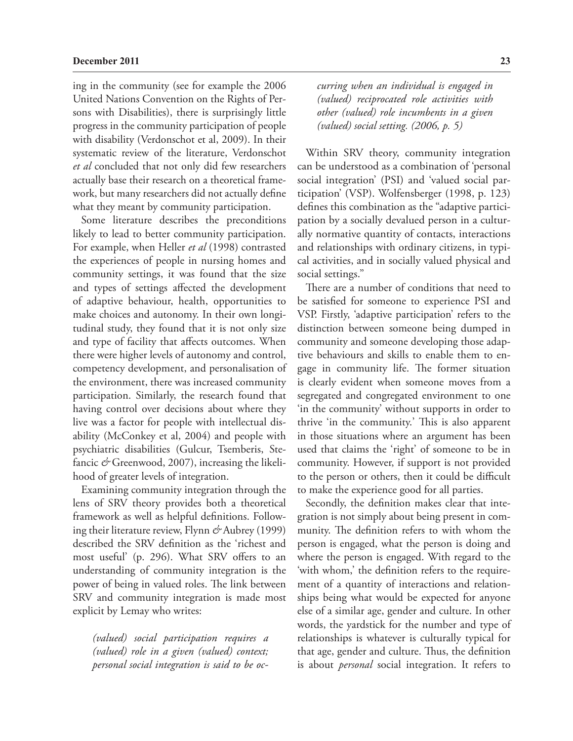ing in the community (see for example the 2006 United Nations Convention on the Rights of Persons with Disabilities), there is surprisingly little progress in the community participation of people with disability (Verdonschot et al, 2009). In their systematic review of the literature, Verdonschot *et al* concluded that not only did few researchers actually base their research on a theoretical framework, but many researchers did not actually define what they meant by community participation.

Some literature describes the preconditions likely to lead to better community participation. For example, when Heller *et al* (1998) contrasted the experiences of people in nursing homes and community settings, it was found that the size and types of settings affected the development of adaptive behaviour, health, opportunities to make choices and autonomy. In their own longitudinal study, they found that it is not only size and type of facility that affects outcomes. When there were higher levels of autonomy and control, competency development, and personalisation of the environment, there was increased community participation. Similarly, the research found that having control over decisions about where they live was a factor for people with intellectual disability (McConkey et al, 2004) and people with psychiatric disabilities (Gulcur, Tsemberis, Stefancic *&* Greenwood, 2007), increasing the likelihood of greater levels of integration.

Examining community integration through the lens of SRV theory provides both a theoretical framework as well as helpful definitions. Following their literature review, Flynn *&* Aubrey (1999) described the SRV definition as the 'richest and most useful' (p. 296). What SRV offers to an understanding of community integration is the power of being in valued roles. The link between SRV and community integration is made most explicit by Lemay who writes:

*(valued) social participation requires a (valued) role in a given (valued) context; personal social integration is said to be oc-* *curring when an individual is engaged in (valued) reciprocated role activities with other (valued) role incumbents in a given (valued) social setting. (2006, p. 5)*

Within SRV theory, community integration can be understood as a combination of 'personal social integration' (PSI) and 'valued social participation' (VSP). Wolfensberger (1998, p. 123) defines this combination as the "adaptive participation by a socially devalued person in a culturally normative quantity of contacts, interactions and relationships with ordinary citizens, in typical activities, and in socially valued physical and social settings."

There are a number of conditions that need to be satisfied for someone to experience PSI and VSP. Firstly, 'adaptive participation' refers to the distinction between someone being dumped in community and someone developing those adaptive behaviours and skills to enable them to engage in community life. The former situation is clearly evident when someone moves from a segregated and congregated environment to one 'in the community' without supports in order to thrive 'in the community.' This is also apparent in those situations where an argument has been used that claims the 'right' of someone to be in community. However, if support is not provided to the person or others, then it could be difficult to make the experience good for all parties.

Secondly, the definition makes clear that integration is not simply about being present in community. The definition refers to with whom the person is engaged, what the person is doing and where the person is engaged. With regard to the 'with whom,' the definition refers to the requirement of a quantity of interactions and relationships being what would be expected for anyone else of a similar age, gender and culture. In other words, the yardstick for the number and type of relationships is whatever is culturally typical for that age, gender and culture. Thus, the definition is about *personal* social integration. It refers to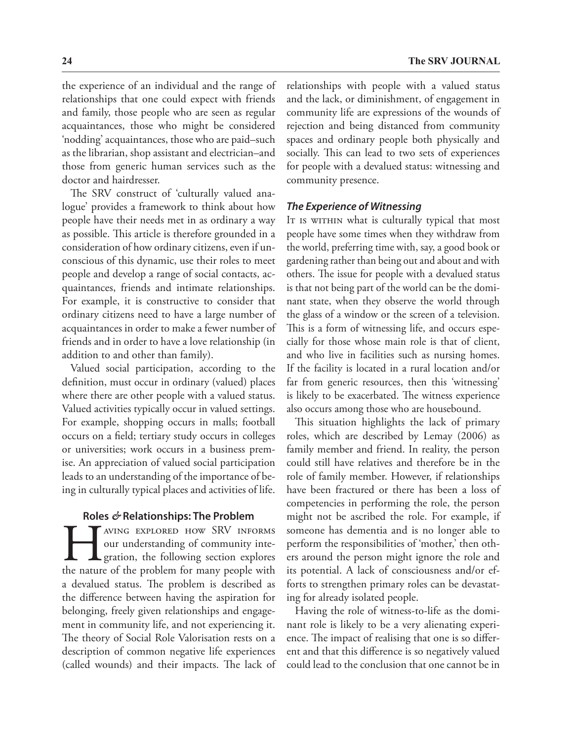the experience of an individual and the range of relationships that one could expect with friends and family, those people who are seen as regular acquaintances, those who might be considered 'nodding' acquaintances, those who are paid–such as the librarian, shop assistant and electrician–and those from generic human services such as the doctor and hairdresser.

The SRV construct of 'culturally valued analogue' provides a framework to think about how people have their needs met in as ordinary a way as possible. This article is therefore grounded in a consideration of how ordinary citizens, even if unconscious of this dynamic, use their roles to meet people and develop a range of social contacts, acquaintances, friends and intimate relationships. For example, it is constructive to consider that ordinary citizens need to have a large number of acquaintances in order to make a fewer number of friends and in order to have a love relationship (in addition to and other than family).

Valued social participation, according to the definition, must occur in ordinary (valued) places where there are other people with a valued status. Valued activities typically occur in valued settings. For example, shopping occurs in malls; football occurs on a field; tertiary study occurs in colleges or universities; work occurs in a business premise. An appreciation of valued social participation leads to an understanding of the importance of being in culturally typical places and activities of life.

#### **Roles** *&* **Relationships: The Problem**

AVING EXPLORED HOW SRV INFORMS<br>our understanding of community integration, the following section explores<br>the nature of the problem for many people with our understanding of community inte-**L** gration, the following section explores the nature of the problem for many people with a devalued status. The problem is described as the difference between having the aspiration for belonging, freely given relationships and engagement in community life, and not experiencing it. The theory of Social Role Valorisation rests on a description of common negative life experiences (called wounds) and their impacts. The lack of

relationships with people with a valued status and the lack, or diminishment, of engagement in community life are expressions of the wounds of rejection and being distanced from community spaces and ordinary people both physically and socially. This can lead to two sets of experiences for people with a devalued status: witnessing and community presence.

#### *The Experience of Witnessing*

It is within what is culturally typical that most people have some times when they withdraw from the world, preferring time with, say, a good book or gardening rather than being out and about and with others. The issue for people with a devalued status is that not being part of the world can be the dominant state, when they observe the world through the glass of a window or the screen of a television. This is a form of witnessing life, and occurs especially for those whose main role is that of client, and who live in facilities such as nursing homes. If the facility is located in a rural location and/or far from generic resources, then this 'witnessing' is likely to be exacerbated. The witness experience also occurs among those who are housebound.

This situation highlights the lack of primary roles, which are described by Lemay (2006) as family member and friend. In reality, the person could still have relatives and therefore be in the role of family member. However, if relationships have been fractured or there has been a loss of competencies in performing the role, the person might not be ascribed the role. For example, if someone has dementia and is no longer able to perform the responsibilities of 'mother,' then others around the person might ignore the role and its potential. A lack of consciousness and/or efforts to strengthen primary roles can be devastating for already isolated people.

Having the role of witness-to-life as the dominant role is likely to be a very alienating experience. The impact of realising that one is so different and that this difference is so negatively valued could lead to the conclusion that one cannot be in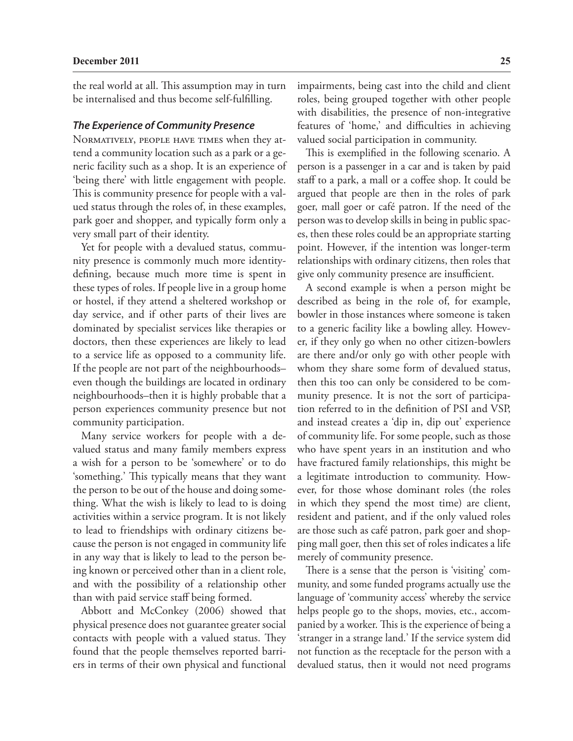the real world at all. This assumption may in turn be internalised and thus become self-fulfilling.

#### *The Experience of Community Presence*

Normatively, people have times when they attend a community location such as a park or a generic facility such as a shop. It is an experience of 'being there' with little engagement with people. This is community presence for people with a valued status through the roles of, in these examples, park goer and shopper, and typically form only a very small part of their identity.

Yet for people with a devalued status, community presence is commonly much more identitydefining, because much more time is spent in these types of roles. If people live in a group home or hostel, if they attend a sheltered workshop or day service, and if other parts of their lives are dominated by specialist services like therapies or doctors, then these experiences are likely to lead to a service life as opposed to a community life. If the people are not part of the neighbourhoods– even though the buildings are located in ordinary neighbourhoods–then it is highly probable that a person experiences community presence but not community participation.

Many service workers for people with a devalued status and many family members express a wish for a person to be 'somewhere' or to do 'something.' This typically means that they want the person to be out of the house and doing something. What the wish is likely to lead to is doing activities within a service program. It is not likely to lead to friendships with ordinary citizens because the person is not engaged in community life in any way that is likely to lead to the person being known or perceived other than in a client role, and with the possibility of a relationship other than with paid service staff being formed.

Abbott and McConkey (2006) showed that physical presence does not guarantee greater social contacts with people with a valued status. They found that the people themselves reported barriers in terms of their own physical and functional

impairments, being cast into the child and client roles, being grouped together with other people with disabilities, the presence of non-integrative features of 'home,' and difficulties in achieving valued social participation in community.

This is exemplified in the following scenario. A person is a passenger in a car and is taken by paid staff to a park, a mall or a coffee shop. It could be argued that people are then in the roles of park goer, mall goer or café patron. If the need of the person was to develop skills in being in public spaces, then these roles could be an appropriate starting point. However, if the intention was longer-term relationships with ordinary citizens, then roles that give only community presence are insufficient.

A second example is when a person might be described as being in the role of, for example, bowler in those instances where someone is taken to a generic facility like a bowling alley. However, if they only go when no other citizen-bowlers are there and/or only go with other people with whom they share some form of devalued status, then this too can only be considered to be community presence. It is not the sort of participation referred to in the definition of PSI and VSP, and instead creates a 'dip in, dip out' experience of community life. For some people, such as those who have spent years in an institution and who have fractured family relationships, this might be a legitimate introduction to community. However, for those whose dominant roles (the roles in which they spend the most time) are client, resident and patient, and if the only valued roles are those such as café patron, park goer and shopping mall goer, then this set of roles indicates a life merely of community presence.

There is a sense that the person is 'visiting' community, and some funded programs actually use the language of 'community access' whereby the service helps people go to the shops, movies, etc., accompanied by a worker. This is the experience of being a 'stranger in a strange land.' If the service system did not function as the receptacle for the person with a devalued status, then it would not need programs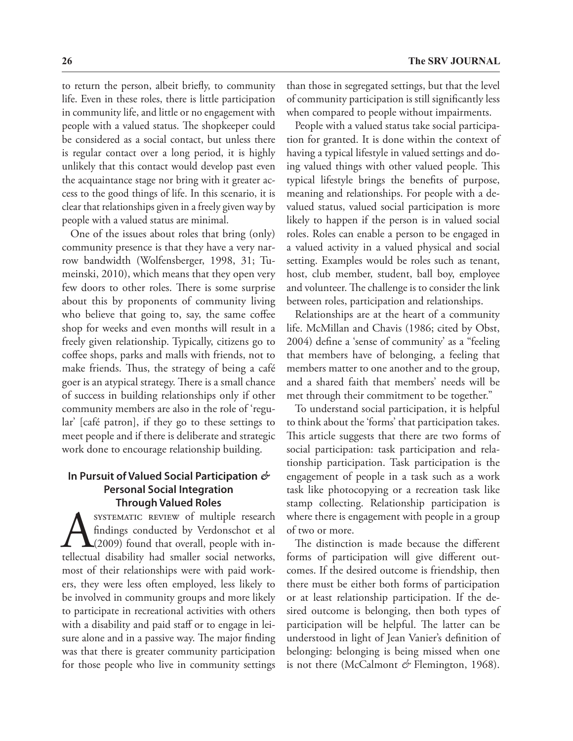to return the person, albeit briefly, to community life. Even in these roles, there is little participation in community life, and little or no engagement with people with a valued status. The shopkeeper could be considered as a social contact, but unless there is regular contact over a long period, it is highly unlikely that this contact would develop past even the acquaintance stage nor bring with it greater access to the good things of life. In this scenario, it is clear that relationships given in a freely given way by people with a valued status are minimal.

One of the issues about roles that bring (only) community presence is that they have a very narrow bandwidth (Wolfensberger, 1998, 31; Tumeinski, 2010), which means that they open very few doors to other roles. There is some surprise about this by proponents of community living who believe that going to, say, the same coffee shop for weeks and even months will result in a freely given relationship. Typically, citizens go to coffee shops, parks and malls with friends, not to make friends. Thus, the strategy of being a café goer is an atypical strategy. There is a small chance of success in building relationships only if other community members are also in the role of 'regular' [café patron], if they go to these settings to meet people and if there is deliberate and strategic work done to encourage relationship building.

## **In Pursuit of Valued Social Participation** *&* **Personal Social Integration Through Valued Roles**

SYSTEMATIC REVIEW of multiple research<br>
findings conducted by Verdonschot et al<br>
(2009) found that overall, people with in-<br>
tellectual disability had smaller social networks, findings conducted by Verdonschot et al (2009) found that overall, people with inmost of their relationships were with paid workers, they were less often employed, less likely to be involved in community groups and more likely to participate in recreational activities with others with a disability and paid staff or to engage in leisure alone and in a passive way. The major finding was that there is greater community participation for those people who live in community settings

than those in segregated settings, but that the level of community participation is still significantly less when compared to people without impairments.

People with a valued status take social participation for granted. It is done within the context of having a typical lifestyle in valued settings and doing valued things with other valued people. This typical lifestyle brings the benefits of purpose, meaning and relationships. For people with a devalued status, valued social participation is more likely to happen if the person is in valued social roles. Roles can enable a person to be engaged in a valued activity in a valued physical and social setting. Examples would be roles such as tenant, host, club member, student, ball boy, employee and volunteer. The challenge is to consider the link between roles, participation and relationships.

Relationships are at the heart of a community life. McMillan and Chavis (1986; cited by Obst, 2004) define a 'sense of community' as a "feeling that members have of belonging, a feeling that members matter to one another and to the group, and a shared faith that members' needs will be met through their commitment to be together."

To understand social participation, it is helpful to think about the 'forms' that participation takes. This article suggests that there are two forms of social participation: task participation and relationship participation. Task participation is the engagement of people in a task such as a work task like photocopying or a recreation task like stamp collecting. Relationship participation is where there is engagement with people in a group of two or more.

The distinction is made because the different forms of participation will give different outcomes. If the desired outcome is friendship, then there must be either both forms of participation or at least relationship participation. If the desired outcome is belonging, then both types of participation will be helpful. The latter can be understood in light of Jean Vanier's definition of belonging: belonging is being missed when one is not there (McCalmont *&* Flemington, 1968).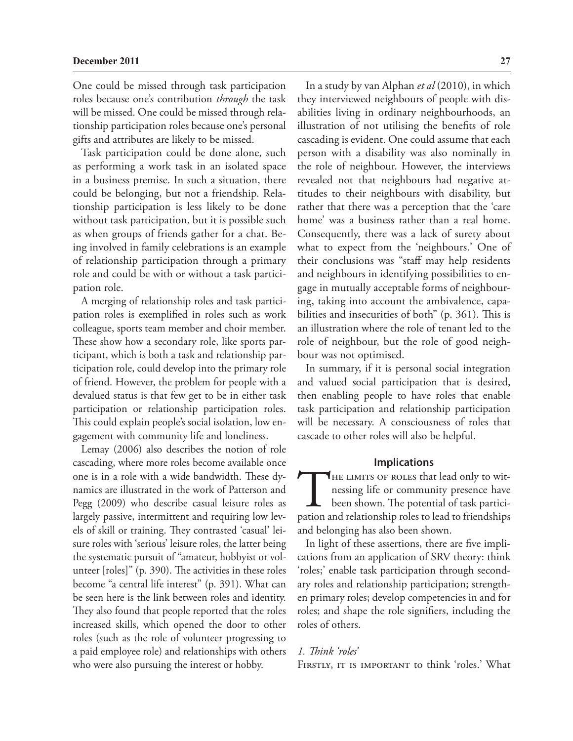#### **December 2011 27**

One could be missed through task participation roles because one's contribution *through* the task will be missed. One could be missed through relationship participation roles because one's personal gifts and attributes are likely to be missed.

Task participation could be done alone, such as performing a work task in an isolated space in a business premise. In such a situation, there could be belonging, but not a friendship. Relationship participation is less likely to be done without task participation, but it is possible such as when groups of friends gather for a chat. Being involved in family celebrations is an example of relationship participation through a primary role and could be with or without a task participation role.

A merging of relationship roles and task participation roles is exemplified in roles such as work colleague, sports team member and choir member. These show how a secondary role, like sports participant, which is both a task and relationship participation role, could develop into the primary role of friend. However, the problem for people with a devalued status is that few get to be in either task participation or relationship participation roles. This could explain people's social isolation, low engagement with community life and loneliness.

Lemay (2006) also describes the notion of role cascading, where more roles become available once one is in a role with a wide bandwidth. These dynamics are illustrated in the work of Patterson and Pegg (2009) who describe casual leisure roles as largely passive, intermittent and requiring low levels of skill or training. They contrasted 'casual' leisure roles with 'serious' leisure roles, the latter being the systematic pursuit of "amateur, hobbyist or volunteer [roles]" (p. 390). The activities in these roles become "a central life interest" (p. 391). What can be seen here is the link between roles and identity. They also found that people reported that the roles increased skills, which opened the door to other roles (such as the role of volunteer progressing to a paid employee role) and relationships with others who were also pursuing the interest or hobby.

In a study by van Alphan *et al* (2010), in which they interviewed neighbours of people with disabilities living in ordinary neighbourhoods, an illustration of not utilising the benefits of role cascading is evident. One could assume that each person with a disability was also nominally in the role of neighbour. However, the interviews revealed not that neighbours had negative attitudes to their neighbours with disability, but rather that there was a perception that the 'care home' was a business rather than a real home. Consequently, there was a lack of surety about what to expect from the 'neighbours.' One of their conclusions was "staff may help residents and neighbours in identifying possibilities to engage in mutually acceptable forms of neighbouring, taking into account the ambivalence, capabilities and insecurities of both" (p. 361). This is an illustration where the role of tenant led to the role of neighbour, but the role of good neighbour was not optimised.

In summary, if it is personal social integration and valued social participation that is desired, then enabling people to have roles that enable task participation and relationship participation will be necessary. A consciousness of roles that cascade to other roles will also be helpful.

## **Implications**

THE LIMITS OF ROLES that lead only to witnessing life or community presence have<br>been shown. The potential of task partici-<br>pation and relationship roles to lead to friendships nessing life or community presence have been shown. The potential of task participation and relationship roles to lead to friendships and belonging has also been shown.

In light of these assertions, there are five implications from an application of SRV theory: think 'roles;' enable task participation through secondary roles and relationship participation; strengthen primary roles; develop competencies in and for roles; and shape the role signifiers, including the roles of others.

#### *1. Think 'roles'*

FIRSTLY, IT IS IMPORTANT to think 'roles.' What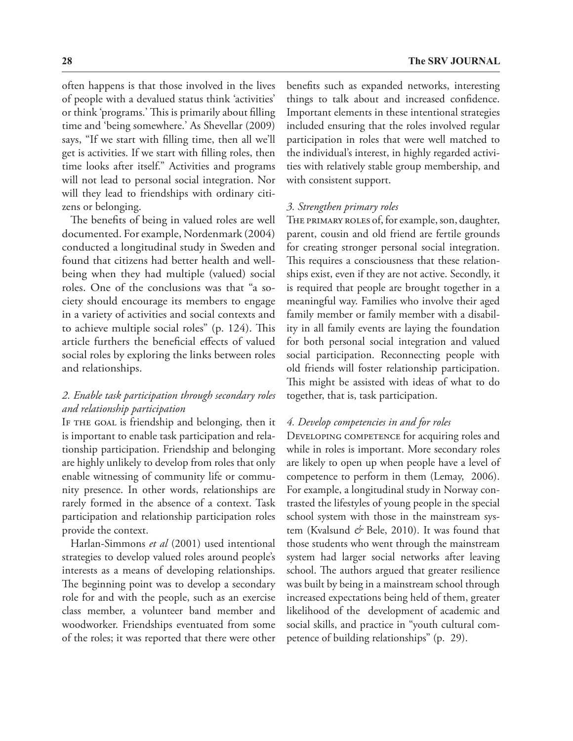often happens is that those involved in the lives of people with a devalued status think 'activities' or think 'programs.' This is primarily about filling time and 'being somewhere.' As Shevellar (2009) says, "If we start with filling time, then all we'll get is activities. If we start with filling roles, then time looks after itself." Activities and programs will not lead to personal social integration. Nor

zens or belonging. The benefits of being in valued roles are well documented. For example, Nordenmark (2004) conducted a longitudinal study in Sweden and found that citizens had better health and wellbeing when they had multiple (valued) social roles. One of the conclusions was that "a society should encourage its members to engage in a variety of activities and social contexts and to achieve multiple social roles" (p. 124). This article furthers the beneficial effects of valued social roles by exploring the links between roles and relationships.

will they lead to friendships with ordinary citi-

## *2. Enable task participation through secondary roles and relationship participation*

IF THE GOAL is friendship and belonging, then it is important to enable task participation and relationship participation. Friendship and belonging are highly unlikely to develop from roles that only enable witnessing of community life or community presence. In other words, relationships are rarely formed in the absence of a context. Task participation and relationship participation roles provide the context.

Harlan-Simmons *et al* (2001) used intentional strategies to develop valued roles around people's interests as a means of developing relationships. The beginning point was to develop a secondary role for and with the people, such as an exercise class member, a volunteer band member and woodworker. Friendships eventuated from some of the roles; it was reported that there were other

benefits such as expanded networks, interesting things to talk about and increased confidence. Important elements in these intentional strategies included ensuring that the roles involved regular participation in roles that were well matched to the individual's interest, in highly regarded activities with relatively stable group membership, and with consistent support.

#### *3. Strengthen primary roles*

THE PRIMARY ROLES of, for example, son, daughter, parent, cousin and old friend are fertile grounds for creating stronger personal social integration. This requires a consciousness that these relationships exist, even if they are not active. Secondly, it is required that people are brought together in a meaningful way. Families who involve their aged family member or family member with a disability in all family events are laying the foundation for both personal social integration and valued social participation. Reconnecting people with old friends will foster relationship participation. This might be assisted with ideas of what to do together, that is, task participation.

### *4. Develop competencies in and for roles*

DEVELOPING COMPETENCE for acquiring roles and while in roles is important. More secondary roles are likely to open up when people have a level of competence to perform in them (Lemay, 2006). For example, a longitudinal study in Norway contrasted the lifestyles of young people in the special school system with those in the mainstream system (Kvalsund & Bele, 2010). It was found that those students who went through the mainstream system had larger social networks after leaving school. The authors argued that greater resilience was built by being in a mainstream school through increased expectations being held of them, greater likelihood of the development of academic and social skills, and practice in "youth cultural competence of building relationships" (p. 29).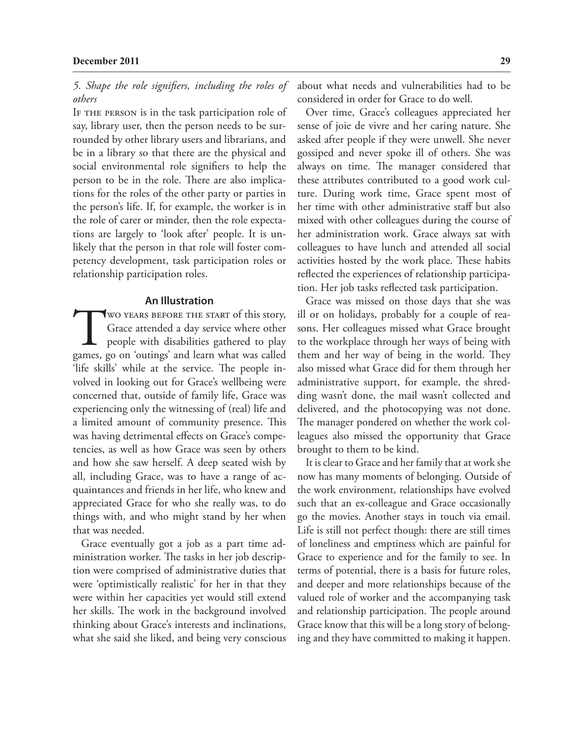*5. Shape the role signifiers, including the roles of others*

IF THE PERSON is in the task participation role of say, library user, then the person needs to be surrounded by other library users and librarians, and be in a library so that there are the physical and social environmental role signifiers to help the person to be in the role. There are also implications for the roles of the other party or parties in the person's life. If, for example, the worker is in the role of carer or minder, then the role expectations are largely to 'look after' people. It is unlikely that the person in that role will foster competency development, task participation roles or relationship participation roles.

#### **An Illustration**

WO YEARS BEFORE THE START of this story,<br>Grace attended a day service where other<br>people with disabilities gathered to play<br>games, go on 'outings' and learn what was called Grace attended a day service where other people with disabilities gathered to play games, go on 'outings' and learn what was called 'life skills' while at the service. The people involved in looking out for Grace's wellbeing were concerned that, outside of family life, Grace was experiencing only the witnessing of (real) life and a limited amount of community presence. This was having detrimental effects on Grace's competencies, as well as how Grace was seen by others and how she saw herself. A deep seated wish by all, including Grace, was to have a range of acquaintances and friends in her life, who knew and appreciated Grace for who she really was, to do things with, and who might stand by her when that was needed.

Grace eventually got a job as a part time administration worker. The tasks in her job description were comprised of administrative duties that were 'optimistically realistic' for her in that they were within her capacities yet would still extend her skills. The work in the background involved thinking about Grace's interests and inclinations, what she said she liked, and being very conscious about what needs and vulnerabilities had to be considered in order for Grace to do well.

Over time, Grace's colleagues appreciated her sense of joie de vivre and her caring nature. She asked after people if they were unwell. She never gossiped and never spoke ill of others. She was always on time. The manager considered that these attributes contributed to a good work culture. During work time, Grace spent most of her time with other administrative staff but also mixed with other colleagues during the course of her administration work. Grace always sat with colleagues to have lunch and attended all social activities hosted by the work place. These habits reflected the experiences of relationship participation. Her job tasks reflected task participation.

Grace was missed on those days that she was ill or on holidays, probably for a couple of reasons. Her colleagues missed what Grace brought to the workplace through her ways of being with them and her way of being in the world. They also missed what Grace did for them through her administrative support, for example, the shredding wasn't done, the mail wasn't collected and delivered, and the photocopying was not done. The manager pondered on whether the work colleagues also missed the opportunity that Grace brought to them to be kind.

It is clear to Grace and her family that at work she now has many moments of belonging. Outside of the work environment, relationships have evolved such that an ex-colleague and Grace occasionally go the movies. Another stays in touch via email. Life is still not perfect though: there are still times of loneliness and emptiness which are painful for Grace to experience and for the family to see. In terms of potential, there is a basis for future roles, and deeper and more relationships because of the valued role of worker and the accompanying task and relationship participation. The people around Grace know that this will be a long story of belonging and they have committed to making it happen.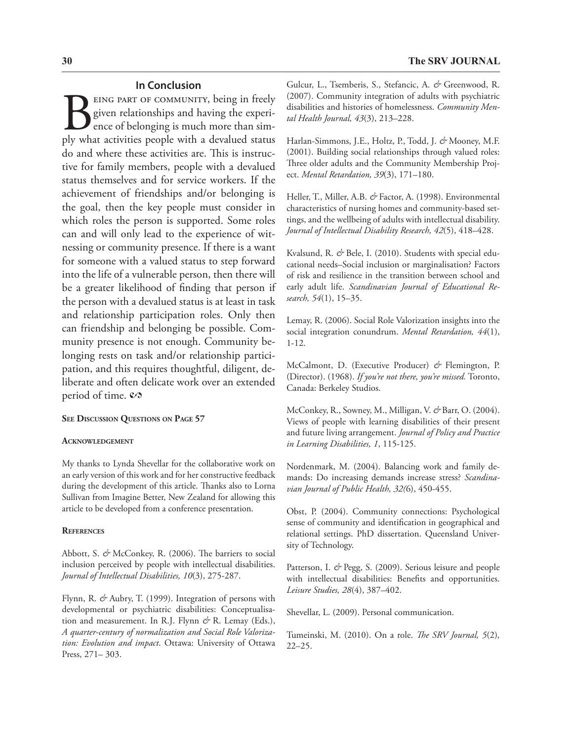## **In Conclusion**

BEING PART OF COMMUNITY, being in freely given relationships and having the experience of belonging is much more than simply what activities people with a devalued status given relationships and having the experience of belonging is much more than simply what activities people with a devalued status do and where these activities are. This is instructive for family members, people with a devalued status themselves and for service workers. If the achievement of friendships and/or belonging is the goal, then the key people must consider in which roles the person is supported. Some roles can and will only lead to the experience of witnessing or community presence. If there is a want for someone with a valued status to step forward into the life of a vulnerable person, then there will be a greater likelihood of finding that person if the person with a devalued status is at least in task and relationship participation roles. Only then can friendship and belonging be possible. Community presence is not enough. Community belonging rests on task and/or relationship participation, and this requires thoughtful, diligent, deliberate and often delicate work over an extended period of time.  $\mathcal{O}$ 

#### **See Discussion Questions on Page 57**

#### **Acknowledgement**

My thanks to Lynda Shevellar for the collaborative work on an early version of this work and for her constructive feedback during the development of this article. Thanks also to Lorna Sullivan from Imagine Better, New Zealand for allowing this article to be developed from a conference presentation.

#### **References**

Abbott, S. *&* McConkey, R. (2006). The barriers to social inclusion perceived by people with intellectual disabilities. *Journal of Intellectual Disabilities, 10*(3), 275-287.

Flynn, R. *&* Aubry, T. (1999). Integration of persons with developmental or psychiatric disabilities: Conceptualisation and measurement. In R.J. Flynn *&* R. Lemay (Eds.), *A quarter-century of normalization and Social Role Valorization: Evolution and impact*. Ottawa: University of Ottawa Press, 271– 303.

Gulcur, L., Tsemberis, S., Stefancic, A. *&* Greenwood, R. (2007). Community integration of adults with psychiatric disabilities and histories of homelessness. *Community Mental Health Journal, 43*(3), 213–228.

Harlan-Simmons, J.E., Holtz, P., Todd, J. *&* Mooney, M.F. (2001). Building social relationships through valued roles: Three older adults and the Community Membership Project. *Mental Retardation, 39*(3), 171–180.

Heller, T., Miller, A.B. *&* Factor, A. (1998). Environmental characteristics of nursing homes and community-based settings, and the wellbeing of adults with intellectual disability. *Journal of Intellectual Disability Research, 42*(5), 418–428.

Kvalsund, R. & Bele, I. (2010). Students with special educational needs–Social inclusion or marginalisation? Factors of risk and resilience in the transition between school and early adult life. *Scandinavian Journal of Educational Research, 54*(1), 15–35.

Lemay, R. (2006). Social Role Valorization insights into the social integration conundrum. *Mental Retardation, 44*(1), 1-12.

McCalmont, D. (Executive Producer) *&* Flemington, P. (Director). (1968). *If you're not there, you're missed.* Toronto, Canada: Berkeley Studios.

McConkey, R., Sowney, M., Milligan, V. *&* Barr, O. (2004). Views of people with learning disabilities of their present and future living arrangement. *Journal of Policy and Practice in Learning Disabilities, 1*, 115-125.

Nordenmark, M. (2004). Balancing work and family demands: Do increasing demands increase stress? *Scandinavian Journal of Public Health, 32(*6), 450-455.

Obst, P. (2004). Community connections: Psychological sense of community and identification in geographical and relational settings. PhD dissertation. Queensland University of Technology.

Patterson, I. & Pegg, S. (2009). Serious leisure and people with intellectual disabilities: Benefits and opportunities. *Leisure Studies, 28*(4), 387–402.

Shevellar, L. (2009). Personal communication.

Tumeinski, M. (2010). On a role. *The SRV Journal, 5*(2)*,*  22–25.